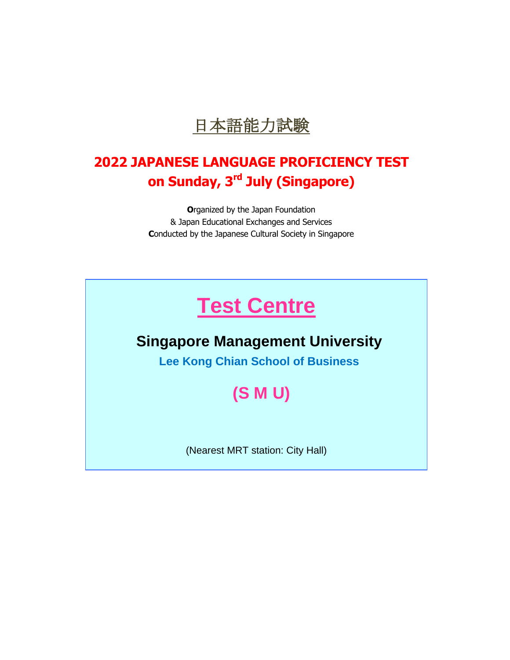

# **2022 JAPANESE LANGUAGE PROFICIENCY TEST on Sunday, 3 rd July (Singapore)**

**O**rganized by the Japan Foundation & Japan Educational Exchanges and Services **C**onducted by the Japanese Cultural Society in Singapore